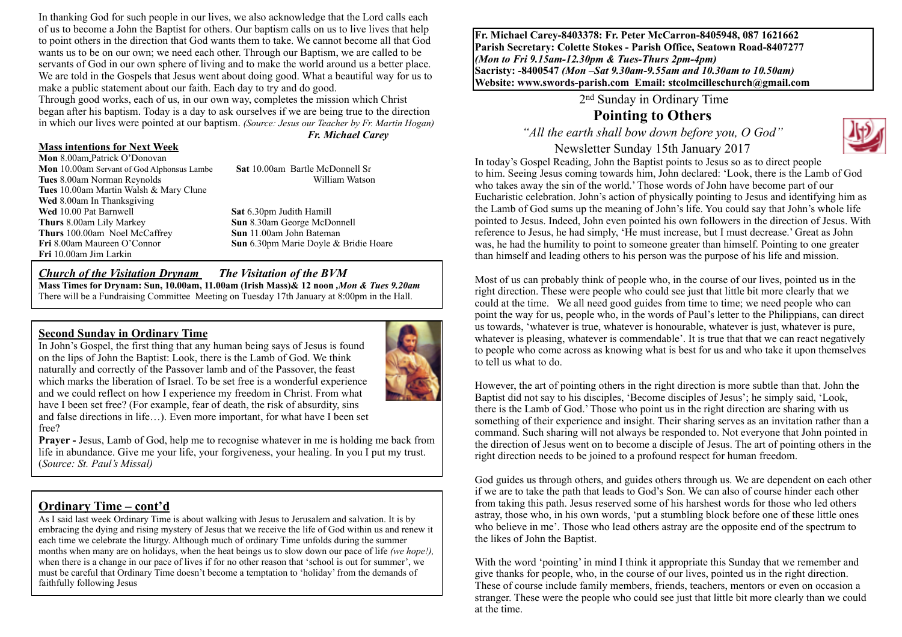In thanking God for such people in our lives, we also acknowledge that the Lord calls each of us to become a John the Baptist for others. Our baptism calls on us to live lives that help to point others in the direction that God wants them to take. We cannot become all that God wants us to be on our own; we need each other. Through our Baptism, we are called to be servants of God in our own sphere of living and to make the world around us a better place. We are told in the Gospels that Jesus went about doing good. What a beautiful way for us to make a public statement about our faith. Each day to try and do good.

Through good works, each of us, in our own way, completes the mission which Christ began after his baptism. Today is a day to ask ourselves if we are being true to the direction in which our lives were pointed at our baptism. *(Source: Jesus our Teacher by Fr. Martin Hogan) Fr. Michael Carey*

#### **Mass intentions for Next Week**

**Mon** 8.00am Patrick O'Donovan **Mon** 10.00am Servant of God Alphonsus Lambe **Sat** 10.00am Bartle McDonnell Sr **Tues** 8.00am Norman Reynolds William Watson **Tues** 10.00am Martin Walsh & Mary Clune **Wed** 8.00am In Thanksgiving **Wed** 10.00 Pat Barnwell **Sat 6.30pm Judith Hamill**<br> **Sat 6.30pm Judith Hamill**<br> **Sun 8.30am George McDo Thurs** 100.00am Noel McCaffrey **Fri** 8.00am Maureen O'Connor **Sun** 6.30pm Marie Doyle & Bridie Hoare **Fri** 10.00am Jim Larkin

**Sun 8.30am George McDonnell**<br>**Sun 11.00am John Bateman** 

#### *Church of the Visitation Drynam**The Visitation of the BVM*

**Mass Times for Drynam: Sun, 10.00am, 11.00am (Irish Mass)& 12 noon** *,Mon & Tues 9.20am*  There will be a Fundraising Committee Meeting on Tuesday 17th January at 8:00pm in the Hall.

#### **Second Sunday in Ordinary Time**

In John's Gospel, the first thing that any human being says of Jesus is found on the lips of John the Baptist: Look, there is the Lamb of God. We think naturally and correctly of the Passover lamb and of the Passover, the feast which marks the liberation of Israel. To be set free is a wonderful experience and we could reflect on how I experience my freedom in Christ. From what have I been set free? (For example, fear of death, the risk of absurdity, sins and false directions in life…). Even more important, for what have I been set free?



**Prayer - Jesus, Lamb of God, help me to recognise whatever in me is holding me back from** life in abundance. Give me your life, your forgiveness, your healing. In you I put my trust. (*Source: St. Paul's Missal)*

#### **Ordinary Time – cont'd**

As I said last week Ordinary Time is about walking with Jesus to Jerusalem and salvation. It is by embracing the dying and rising mystery of Jesus that we receive the life of God within us and renew it each time we celebrate the liturgy. Although much of ordinary Time unfolds during the summer months when many are on holidays, when the heat beings us to slow down our pace of life *(we hope!),* when there is a change in our pace of lives if for no other reason that 'school is out for summer', we must be careful that Ordinary Time doesn't become a temptation to 'holiday' from the demands of faithfully following Jesus

**Fr. Michael Carey-8403378: Fr. Peter McCarron-8405948, 087 1621662 Parish Secretary: Colette Stokes - Parish Office, Seatown Road-8407277**  *(Mon to Fri 9.15am-12.30pm & Tues-Thurs 2pm-4pm)*  **Sacristy: -8400547** *(Mon –Sat 9.30am-9.55am and 10.30am to 10.50am)* **Website: [www.swords-parish.com Email:](http://www.swords-parish.com%20%20email) stcolmcilleschurch@gmail.com**

2nd Sunday in Ordinary Time

# **Pointing to Others**

*"All the earth shall bow down before you, O God"* 



Newsletter Sunday 15th January 2017 In today's Gospel Reading, John the Baptist points to Jesus so as to direct people to him. Seeing Jesus coming towards him, John declared: 'Look, there is the Lamb of God who takes away the sin of the world.' Those words of John have become part of our Eucharistic celebration. John's action of physically pointing to Jesus and identifying him as the Lamb of God sums up the meaning of John's life. You could say that John's whole life pointed to Jesus. Indeed, John even pointed his own followers in the direction of Jesus. With reference to Jesus, he had simply, 'He must increase, but I must decrease.' Great as John was, he had the humility to point to someone greater than himself. Pointing to one greater than himself and leading others to his person was the purpose of his life and mission.

Most of us can probably think of people who, in the course of our lives, pointed us in the right direction. These were people who could see just that little bit more clearly that we could at the time. We all need good guides from time to time; we need people who can point the way for us, people who, in the words of Paul's letter to the Philippians, can direct us towards, 'whatever is true, whatever is honourable, whatever is just, whatever is pure, whatever is pleasing, whatever is commendable'. It is true that that we can react negatively to people who come across as knowing what is best for us and who take it upon themselves to tell us what to do.

However, the art of pointing others in the right direction is more subtle than that. John the Baptist did not say to his disciples, 'Become disciples of Jesus'; he simply said, 'Look, there is the Lamb of God.' Those who point us in the right direction are sharing with us something of their experience and insight. Their sharing serves as an invitation rather than a command. Such sharing will not always be responded to. Not everyone that John pointed in the direction of Jesus went on to become a disciple of Jesus. The art of pointing others in the right direction needs to be joined to a profound respect for human freedom.

God guides us through others, and guides others through us. We are dependent on each other if we are to take the path that leads to God's Son. We can also of course hinder each other from taking this path. Jesus reserved some of his harshest words for those who led others astray, those who, in his own words, 'put a stumbling block before one of these little ones who believe in me'. Those who lead others astray are the opposite end of the spectrum to the likes of John the Baptist.

With the word 'pointing' in mind I think it appropriate this Sunday that we remember and give thanks for people, who, in the course of our lives, pointed us in the right direction. These of course include family members, friends, teachers, mentors or even on occasion a stranger. These were the people who could see just that little bit more clearly than we could at the time.